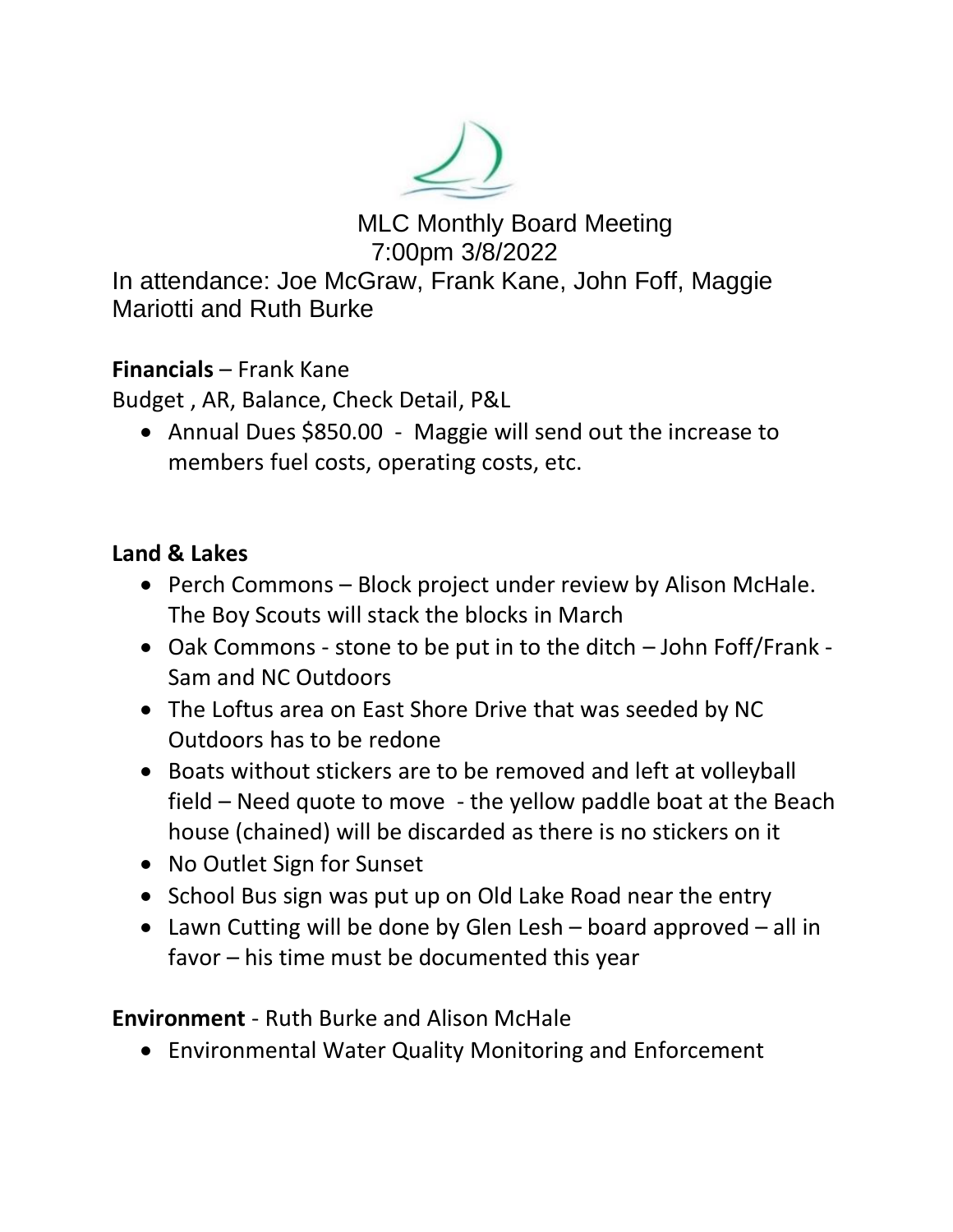

 MLC Monthly Board Meeting 7:00pm 3/8/2022

In attendance: Joe McGraw, Frank Kane, John Foff, Maggie Mariotti and Ruth Burke

**Financials** – Frank Kane

Budget , AR, Balance, Check Detail, P&L

• Annual Dues \$850.00 - Maggie will send out the increase to members fuel costs, operating costs, etc.

## **Land & Lakes**

- Perch Commons Block project under review by Alison McHale. The Boy Scouts will stack the blocks in March
- Oak Commons stone to be put in to the ditch John Foff/Frank Sam and NC Outdoors
- The Loftus area on East Shore Drive that was seeded by NC Outdoors has to be redone
- Boats without stickers are to be removed and left at volleyball field – Need quote to move - the yellow paddle boat at the Beach house (chained) will be discarded as there is no stickers on it
- No Outlet Sign for Sunset
- School Bus sign was put up on Old Lake Road near the entry
- Lawn Cutting will be done by Glen Lesh board approved all in favor – his time must be documented this year

**Environment** - Ruth Burke and Alison McHale

• Environmental Water Quality Monitoring and Enforcement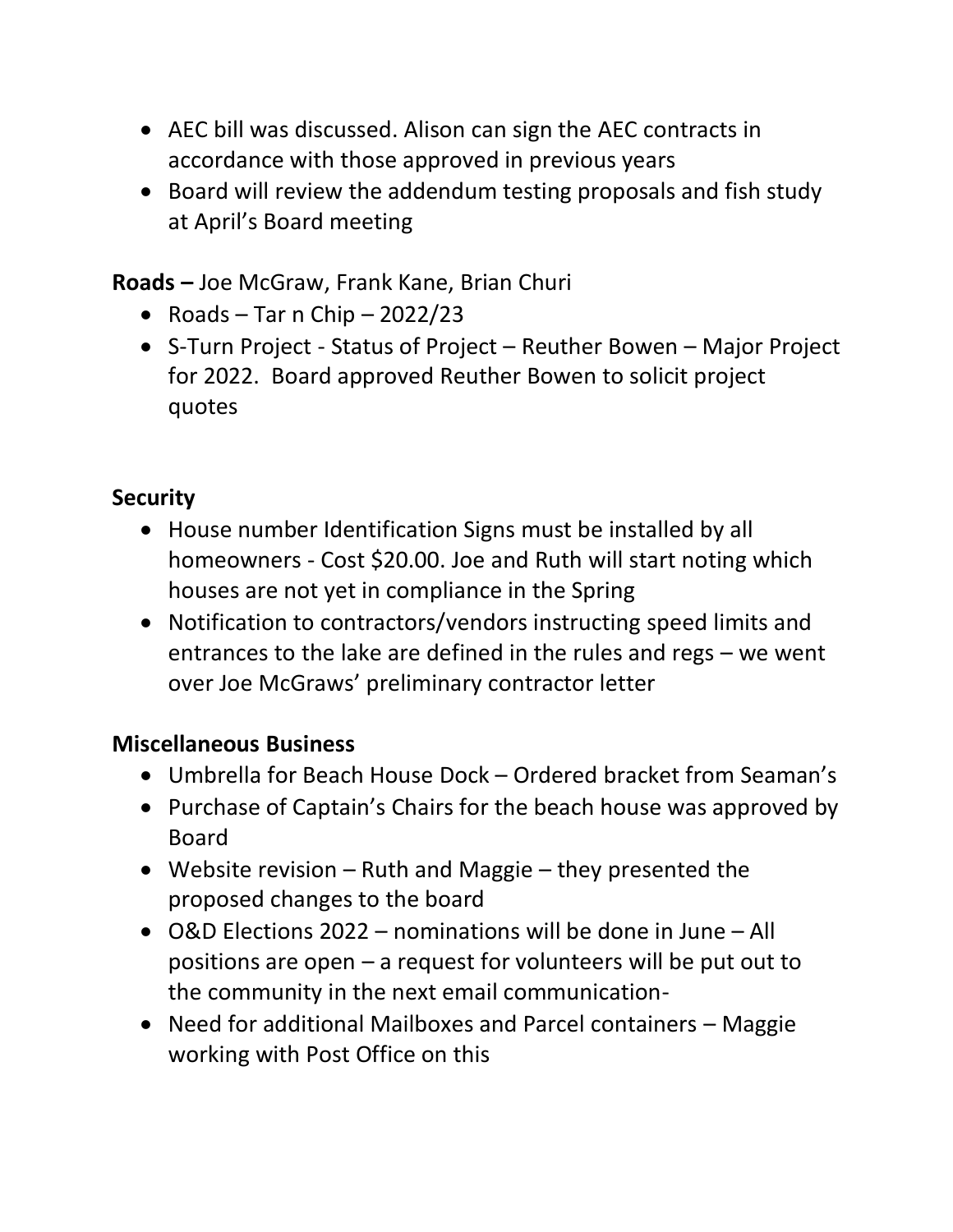- AEC bill was discussed. Alison can sign the AEC contracts in accordance with those approved in previous years
- Board will review the addendum testing proposals and fish study at April's Board meeting

**Roads –** Joe McGraw, Frank Kane, Brian Churi

- Roads Tar n Chip 2022/23
- S-Turn Project Status of Project Reuther Bowen Major Project for 2022. Board approved Reuther Bowen to solicit project quotes

## **Security**

- House number Identification Signs must be installed by all homeowners - Cost \$20.00. Joe and Ruth will start noting which houses are not yet in compliance in the Spring
- Notification to contractors/vendors instructing speed limits and entrances to the lake are defined in the rules and regs – we went over Joe McGraws' preliminary contractor letter

## **Miscellaneous Business**

- Umbrella for Beach House Dock Ordered bracket from Seaman's
- Purchase of Captain's Chairs for the beach house was approved by Board
- Website revision Ruth and Maggie they presented the proposed changes to the board
- O&D Elections 2022 nominations will be done in June All positions are open – a request for volunteers will be put out to the community in the next email communication-
- Need for additional Mailboxes and Parcel containers Maggie working with Post Office on this